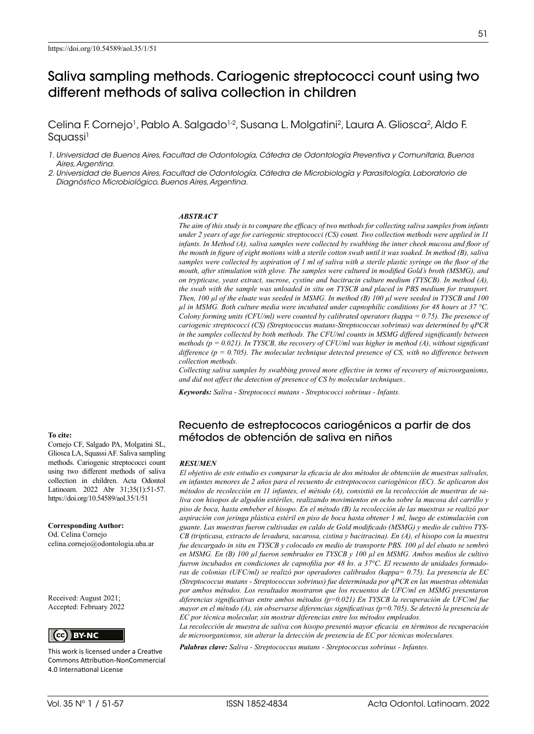# Saliva sampling methods. Cariogenic streptococci count using two different methods of saliva collection in children

Celina F. Cornejo<sup>1</sup>, Pablo A. Salgado<sup>1-2</sup>, Susana L. Molgatini<sup>2</sup>, Laura A. Gliosca<sup>2</sup>, Aldo F. Squassi<sup>1</sup>

*1. Universidad de Buenos Aires, Facultad de Odontología, Cátedra de Odontología Preventiva y Comunitaria, Buenos Aires, Argentina.*

*2. Universidad de Buenos Aires, Facultad de Odontología, Cátedra de Microbiología y Parasitología, Laboratorio de Diagnóstico Microbiológico, Buenos Aires, Argentina.*

#### *ABSTRACT*

*The aim of this study is to compare the efficacy of two methods for collecting saliva samples from infants under 2 years of age for cariogenic streptococci (CS) count. Two collection methods were applied in 11 infants. In Method (A), saliva samples were collected by swabbing the inner cheek mucosa and floor of the mouth in figure of eight motions with a sterile cotton swab until it was soaked. In method (B), saliva samples were collected by aspiration of 1 ml of saliva with a sterile plastic syringe on the floor of the mouth, after stimulation with glove. The samples were cultured in modified Gold's broth (MSMG), and on trypticase, yeast extract, sucrose, cystine and bacitracin culture medium (TYSCB). In method (A), the swab with the sample was unloaded in situ on TYSCB and placed in PBS medium for transport. Then, 100 µl of the eluate was seeded in MSMG. In method (B) 100 µl were seeded in TYSCB and 100 µl in MSMG. Both culture media were incubated under capnophilic conditions for 48 hours at 37 °C. Colony forming units (CFU/ml) were counted by calibrated operators (kappa = 0.75). The presence of cariogenic streptococci (CS) (Streptococcus mutans-Streptococcus sobrinus) was determined by qPCR in the samples collected by both methods. The CFU/ml counts in MSMG differed significantly between methods (p = 0.021). In TYSCB, the recovery of CFU/ml was higher in method (A), without significant difference (p = 0.705). The molecular technique detected presence of CS, with no difference between collection methods.*

*Collecting saliva samples by swabbing proved more effective in terms of recovery of microorganisms, and did not affect the detection of presence of CS by molecular techniques..* 

*Keywords: Saliva - Streptococci mutans - Streptococci sobrinus - Infants.*

### Recuento de estreptococos cariogénicos a partir de dos métodos de obtención de saliva en niños

#### *RESUMEN*

*El objetivo de este estudio es comparar la eficacia de dos métodos de obtención de muestras salivales, en infantes menores de 2 años para el recuento de estreptococos cariogénicos (EC). Se aplicaron dos métodos de recolección en 11 infantes, el método (A), consistió en la recolección de muestras de saliva con hisopos de algodón estériles, realizando movimientos en ocho sobre la mucosa del carrillo y piso de boca, hasta embeber el hisopo. En el método (B) la recolección de las muestras se realizó por aspiración con jeringa plástica estéril en piso de boca hasta obtener 1 ml, luego de estimulación con guante. Las muestras fueron cultivadas en caldo de Gold modificado (MSMG) y medio de cultivo TYS-CB (tripticasa, extracto de levadura, sacarosa, cistina y bacitracina). En (A), el hisopo con la muestra fue descargado in situ en TYSCB y colocado en medio de transporte PBS. 100 µl del eluato se sembró en MSMG. En (B) 100 µl fueron sembrados en TYSCB y 100 µl en MSMG. Ambos medios de cultivo fueron incubados en condiciones de capnofilia por 48 hs. a 37°C. El recuento de unidades formadoras de colonias (UFC/ml) se realizó por operadores calibrados (kappa= 0.75). La presencia de EC (Streptococcus mutans - Streptococcus sobrinus) fue determinada por qPCR en las muestras obtenidas por ambos métodos. Los resultados mostraron que los recuentos de UFC/ml en MSMG presentaron diferencias significativas entre ambos métodos (p=0.021) En TYSCB la recuperación de UFC/ml fue mayor en el método (A), sin observarse diferencias significativas (p=0.705). Se detectó la presencia de EC por técnica molecular, sin mostrar diferencias entre los métodos empleados.* 

*La recolección de muestra de saliva con hisopo presentó mayor eficacia en términos de recuperación de microorganismos, sin alterar la detección de presencia de EC por técnicas moleculares.*

*Palabras clave: Saliva - Streptococcus mutans - Streptococcus sobrinus - Infantes.* 

### **To cite:**

Cornejo CF, Salgado PA, Molgatini SL, Gliosca LA, Squassi AF. Saliva sampling methods. Cariogenic streptococci count using two different methods of saliva collection in children. Acta Odontol Latinoam. 2022 Abr 31;35(1):51-57. https://doi.org/10.54589/aol.35/1/51

**Corresponding Author:** Od. Celina Cornejo celina.cornejo@odontologia.uba.ar

Received: August 2021; Accepted: February 2022



This work is licensed under a Creative Commons Attribution-NonCommercial 4.0 International License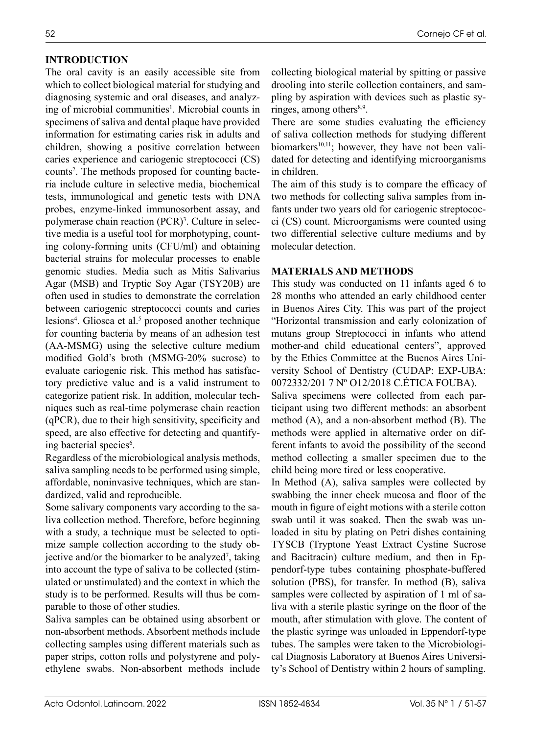## **INTRODUCTION**

The oral cavity is an easily accessible site from which to collect biological material for studying and diagnosing systemic and oral diseases, and analyzing of microbial communities<sup>1</sup>. Microbial counts in specimens of saliva and dental plaque have provided information for estimating caries risk in adults and children, showing a positive correlation between caries experience and cariogenic streptococci (CS) counts<sup>2</sup>. The methods proposed for counting bacteria include culture in selective media, biochemical tests, immunological and genetic tests with DNA probes, enzyme-linked immunosorbent assay, and polymerase chain reaction (PCR)<sup>3</sup>. Culture in selective media is a useful tool for morphotyping, counting colony-forming units (CFU/ml) and obtaining bacterial strains for molecular processes to enable genomic studies. Media such as Mitis Salivarius Agar (MSB) and Tryptic Soy Agar (TSY20B) are often used in studies to demonstrate the correlation between cariogenic streptococci counts and caries lesions<sup>4</sup>. Gliosca et al.<sup>5</sup> proposed another technique for counting bacteria by means of an adhesion test (AA-MSMG) using the selective culture medium modified Gold's broth (MSMG-20% sucrose) to evaluate cariogenic risk. This method has satisfactory predictive value and is a valid instrument to categorize patient risk. In addition, molecular techniques such as real-time polymerase chain reaction (qPCR), due to their high sensitivity, specificity and speed, are also effective for detecting and quantifying bacterial species<sup>6</sup>.

Regardless of the microbiological analysis methods, saliva sampling needs to be performed using simple, affordable, noninvasive techniques, which are standardized, valid and reproducible.

Some salivary components vary according to the saliva collection method. Therefore, before beginning with a study, a technique must be selected to optimize sample collection according to the study objective and/or the biomarker to be analyzed<sup>7</sup>, taking into account the type of saliva to be collected (stimulated or unstimulated) and the context in which the study is to be performed. Results will thus be comparable to those of other studies.

Saliva samples can be obtained using absorbent or non-absorbent methods. Absorbent methods include collecting samples using different materials such as paper strips, cotton rolls and polystyrene and polyethylene swabs. Non-absorbent methods include collecting biological material by spitting or passive drooling into sterile collection containers, and sampling by aspiration with devices such as plastic syringes, among others $8,9$ .

There are some studies evaluating the efficiency of saliva collection methods for studying different biomarkers $10,11$ ; however, they have not been validated for detecting and identifying microorganisms in children.

The aim of this study is to compare the efficacy of two methods for collecting saliva samples from infants under two years old for cariogenic streptococci (CS) count. Microorganisms were counted using two differential selective culture mediums and by molecular detection.

### **MATERIALS AND METHODS**

This study was conducted on 11 infants aged 6 to 28 months who attended an early childhood center in Buenos Aires City. This was part of the project "Horizontal transmission and early colonization of mutans group Streptococci in infants who attend mother-and child educational centers", approved by the Ethics Committee at the Buenos Aires University School of Dentistry (CUDAP: EXP-UBA: 0072332/201 7 Nº O12/2018 C.ÉTICA FOUBA).

Saliva specimens were collected from each participant using two different methods: an absorbent method (A), and a non-absorbent method (B). The methods were applied in alternative order on different infants to avoid the possibility of the second method collecting a smaller specimen due to the child being more tired or less cooperative.

In Method (A), saliva samples were collected by swabbing the inner cheek mucosa and floor of the mouth in figure of eight motions with a sterile cotton swab until it was soaked. Then the swab was unloaded in situ by plating on Petri dishes containing TYSCB (Tryptone Yeast Extract Cystine Sucrose and Bacitracin) culture medium, and then in Eppendorf-type tubes containing phosphate-buffered solution (PBS), for transfer. In method (B), saliva samples were collected by aspiration of 1 ml of saliva with a sterile plastic syringe on the floor of the mouth, after stimulation with glove. The content of the plastic syringe was unloaded in Eppendorf-type tubes. The samples were taken to the Microbiological Diagnosis Laboratory at Buenos Aires University's School of Dentistry within 2 hours of sampling.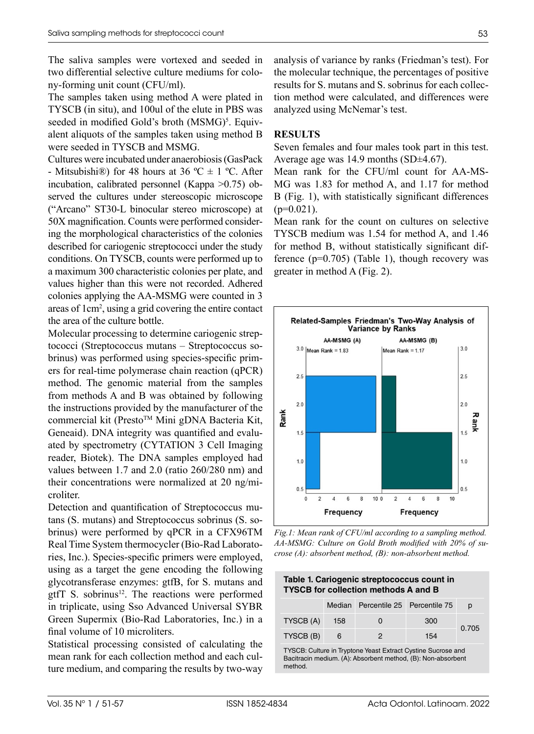The saliva samples were vortexed and seeded in two differential selective culture mediums for colony-forming unit count (CFU/ml).

The samples taken using method A were plated in TYSCB (in situ), and 100ul of the elute in PBS was seeded in modified Gold's broth (MSMG)<sup>5</sup>. Equivalent aliquots of the samples taken using method B were seeded in TYSCB and MSMG.

Cultures were incubated under anaerobiosis (GasPack - Mitsubishi<sup>®</sup>) for 48 hours at 36 °C  $\pm$  1 °C. After incubation, calibrated personnel (Kappa >0.75) observed the cultures under stereoscopic microscope ("Arcano" ST30-L binocular stereo microscope) at 50X magnification. Counts were performed considering the morphological characteristics of the colonies described for cariogenic streptococci under the study conditions. On TYSCB, counts were performed up to a maximum 300 characteristic colonies per plate, and values higher than this were not recorded. Adhered colonies applying the AA-MSMG were counted in 3 areas of 1cm2 , using a grid covering the entire contact the area of the culture bottle.

Molecular processing to determine cariogenic streptococci (Streptococcus mutans – Streptococcus sobrinus) was performed using species-specific primers for real-time polymerase chain reaction (qPCR) method. The genomic material from the samples from methods A and B was obtained by following the instructions provided by the manufacturer of the commercial kit (Presto™ Mini gDNA Bacteria Kit, Geneaid). DNA integrity was quantified and evaluated by spectrometry (CYTATION 3 Cell Imaging reader, Biotek). The DNA samples employed had values between 1.7 and 2.0 (ratio 260/280 nm) and their concentrations were normalized at 20 ng/microliter.

Detection and quantification of Streptococcus mutans (S. mutans) and Streptococcus sobrinus (S. sobrinus) were performed by qPCR in a CFX96TM Real Time System thermocycler (Bio-Rad Laboratories, Inc.). Species-specific primers were employed, using as a target the gene encoding the following glycotransferase enzymes: gtfB, for S. mutans and gtfT S. sobrinus<sup>12</sup>. The reactions were performed in triplicate, using Sso Advanced Universal SYBR Green Supermix (Bio-Rad Laboratories, Inc.) in a final volume of 10 microliters.

Statistical processing consisted of calculating the mean rank for each collection method and each culture medium, and comparing the results by two-way analysis of variance by ranks (Friedman's test). For the molecular technique, the percentages of positive results for S. mutans and S. sobrinus for each collection method were calculated, and differences were analyzed using McNemar's test.

### **RESULTS**

Seven females and four males took part in this test. Average age was 14.9 months (SD±4.67).

Mean rank for the CFU/ml count for AA-MS-MG was 1.83 for method A, and 1.17 for method B (Fig. 1), with statistically significant differences  $(p=0.021)$ .

Mean rank for the count on cultures on selective TYSCB medium was 1.54 for method A, and 1.46 for method B, without statistically significant difference  $(p=0.705)$  (Table 1), though recovery was greater in method A (Fig. 2).



*Fig.1: Mean rank of CFU/ml according to a sampling method. AA-MSMG: Culture on Gold Broth modified with 20% of sucrose (A): absorbent method, (B): non-absorbent method.*

| Table 1. Cariogenic streptococcus count in  |  |
|---------------------------------------------|--|
| <b>TYSCB for collection methods A and B</b> |  |

|           |     | Median Percentile 25 Percentile 75 |     | D     |
|-----------|-----|------------------------------------|-----|-------|
| TYSCB (A) | 158 | $\Omega$                           | 300 | 0.705 |
| TYSCB (B) | 6   |                                    | 154 |       |

TYSCB: Culture in Tryptone Yeast Extract Cystine Sucrose and Bacitracin medium. (A): Absorbent method, (B): Non-absorbent method.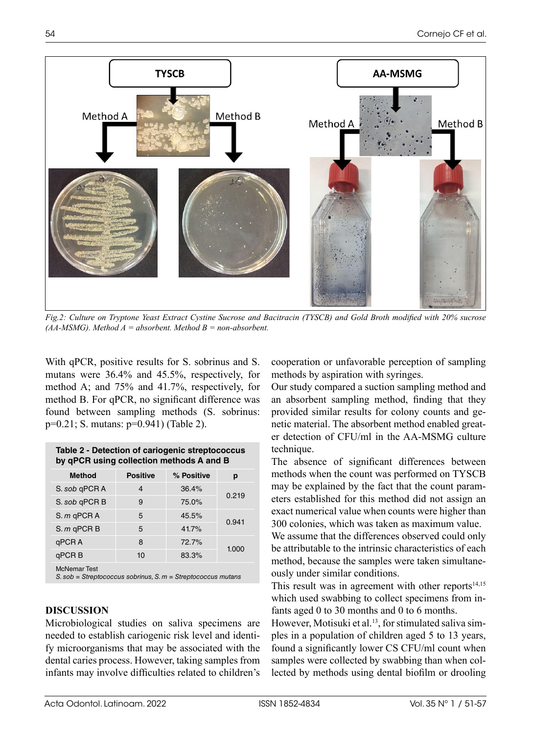

*Fig.2: Culture on Tryptone Yeast Extract Cystine Sucrose and Bacitracin (TYSCB) and Gold Broth modified with 20% sucrose (AA-MSMG). Method A = absorbent. Method B = non-absorbent.*

With qPCR, positive results for S. sobrinus and S. mutans were 36.4% and 45.5%, respectively, for method A; and 75% and 41.7%, respectively, for method B. For qPCR, no significant difference was found between sampling methods (S. sobrinus: p=0.21; S. mutans: p=0.941) (Table 2).

**Table 2 - Detection of cariogenic streptococcus** 

| <b>ROUGHT DECEDITOR OF CONCRETING SUCPLOCOCOGS</b><br>by qPCR using collection methods A and B |                 |            |       |  |  |  |
|------------------------------------------------------------------------------------------------|-----------------|------------|-------|--|--|--|
| <b>Method</b>                                                                                  | <b>Positive</b> | % Positive | р     |  |  |  |
| S. sob qPCR A                                                                                  | 4               | 36.4%      | 0.219 |  |  |  |
| S. sob qPCR B                                                                                  | 9               | 75.0%      |       |  |  |  |
| S. $m$ qPCR A                                                                                  | 5               | 45.5%      |       |  |  |  |
| $S. m$ qPCR $B$                                                                                | 5               | 41.7%      | 0.941 |  |  |  |
| qPCR A                                                                                         | 8               | 72.7%      | 1.000 |  |  |  |
| qPCR <sub>B</sub>                                                                              | 10              | 83.3%      |       |  |  |  |
| <b>McNemar Test</b>                                                                            |                 |            |       |  |  |  |

*S. sob = Streptococcus sobrinus, S. m = Streptococcus mutans*

# **DISCUSSION**

Microbiological studies on saliva specimens are needed to establish cariogenic risk level and identify microorganisms that may be associated with the dental caries process. However, taking samples from infants may involve difficulties related to children's cooperation or unfavorable perception of sampling methods by aspiration with syringes.

Our study compared a suction sampling method and an absorbent sampling method, finding that they provided similar results for colony counts and genetic material. The absorbent method enabled greater detection of CFU/ml in the AA-MSMG culture technique.

The absence of significant differences between methods when the count was performed on TYSCB may be explained by the fact that the count parameters established for this method did not assign an exact numerical value when counts were higher than 300 colonies, which was taken as maximum value.

We assume that the differences observed could only be attributable to the intrinsic characteristics of each method, because the samples were taken simultaneously under similar conditions.

This result was in agreement with other reports $14,15$ which used swabbing to collect specimens from infants aged 0 to 30 months and 0 to 6 months.

However, Motisuki et al.<sup>13</sup>, for stimulated saliva simples in a population of children aged 5 to 13 years, found a significantly lower CS CFU/ml count when samples were collected by swabbing than when collected by methods using dental biofilm or drooling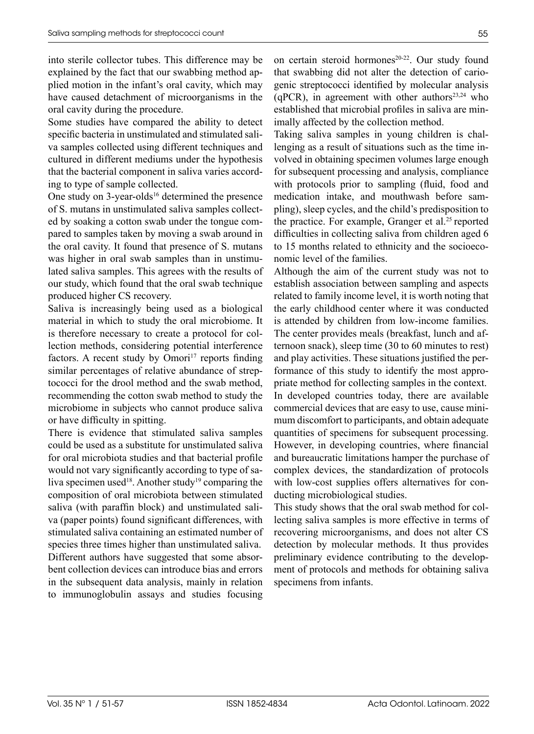into sterile collector tubes. This difference may be explained by the fact that our swabbing method applied motion in the infant's oral cavity, which may have caused detachment of microorganisms in the oral cavity during the procedure.

Some studies have compared the ability to detect specific bacteria in unstimulated and stimulated saliva samples collected using different techniques and cultured in different mediums under the hypothesis that the bacterial component in saliva varies according to type of sample collected.

One study on 3-year-olds<sup>16</sup> determined the presence of S. mutans in unstimulated saliva samples collected by soaking a cotton swab under the tongue compared to samples taken by moving a swab around in the oral cavity. It found that presence of S. mutans was higher in oral swab samples than in unstimulated saliva samples. This agrees with the results of our study, which found that the oral swab technique produced higher CS recovery.

Saliva is increasingly being used as a biological material in which to study the oral microbiome. It is therefore necessary to create a protocol for collection methods, considering potential interference factors. A recent study by Omori<sup>17</sup> reports finding similar percentages of relative abundance of streptococci for the drool method and the swab method, recommending the cotton swab method to study the microbiome in subjects who cannot produce saliva or have difficulty in spitting.

There is evidence that stimulated saliva samples could be used as a substitute for unstimulated saliva for oral microbiota studies and that bacterial profile would not vary significantly according to type of saliva specimen used<sup>18</sup>. Another study<sup>19</sup> comparing the composition of oral microbiota between stimulated saliva (with paraffin block) and unstimulated saliva (paper points) found significant differences, with stimulated saliva containing an estimated number of species three times higher than unstimulated saliva. Different authors have suggested that some absorbent collection devices can introduce bias and errors in the subsequent data analysis, mainly in relation to immunoglobulin assays and studies focusing

on certain steroid hormones<sup>20-22</sup>. Our study found that swabbing did not alter the detection of cariogenic streptococci identified by molecular analysis (qPCR), in agreement with other authors<sup>23,24</sup> who established that microbial profiles in saliva are minimally affected by the collection method.

Taking saliva samples in young children is challenging as a result of situations such as the time involved in obtaining specimen volumes large enough for subsequent processing and analysis, compliance with protocols prior to sampling (fluid, food and medication intake, and mouthwash before sampling), sleep cycles, and the child's predisposition to the practice. For example, Granger et al.<sup>25</sup> reported difficulties in collecting saliva from children aged 6 to 15 months related to ethnicity and the socioeconomic level of the families.

Although the aim of the current study was not to establish association between sampling and aspects related to family income level, it is worth noting that the early childhood center where it was conducted is attended by children from low-income families. The center provides meals (breakfast, lunch and afternoon snack), sleep time (30 to 60 minutes to rest) and play activities. These situations justified the performance of this study to identify the most appropriate method for collecting samples in the context. In developed countries today, there are available commercial devices that are easy to use, cause minimum discomfort to participants, and obtain adequate quantities of specimens for subsequent processing. However, in developing countries, where financial and bureaucratic limitations hamper the purchase of complex devices, the standardization of protocols with low-cost supplies offers alternatives for conducting microbiological studies.

This study shows that the oral swab method for collecting saliva samples is more effective in terms of recovering microorganisms, and does not alter CS detection by molecular methods. It thus provides preliminary evidence contributing to the development of protocols and methods for obtaining saliva specimens from infants.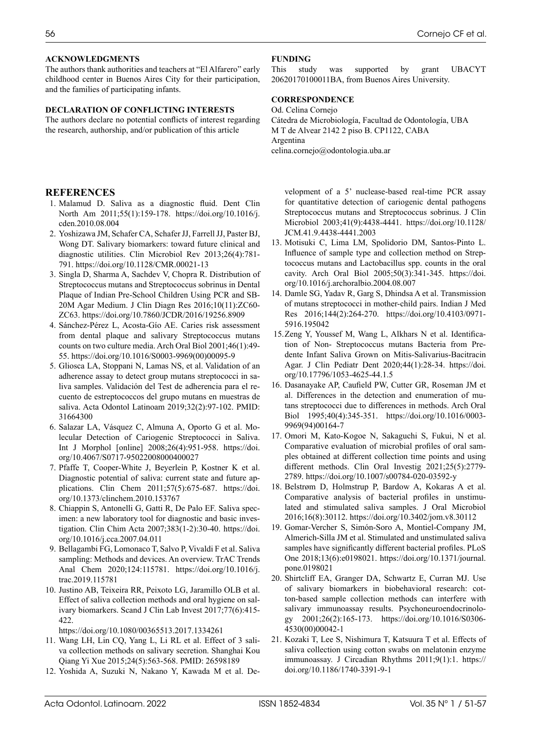### **ACKNOWLEDGMENTS**

The authors thank authorities and teachers at "El Alfarero" early childhood center in Buenos Aires City for their participation, and the families of participating infants.

#### **DECLARATION OF CONFLICTING INTERESTS**

The authors declare no potential conflicts of interest regarding the research, authorship, and/or publication of this article

### **REFERENCES**

- 1. Malamud D. Saliva as a diagnostic fluid. Dent Clin North Am 2011;55(1):159-178. [https://doi.org/10.1016/j.](https://doi.org/10.1016/j.cden.2010.08.004) [cden.2010.08.004](https://doi.org/10.1016/j.cden.2010.08.004)
- 2. Yoshizawa JM, Schafer CA, Schafer JJ, Farrell JJ, Paster BJ, Wong DT. Salivary biomarkers: toward future clinical and diagnostic utilities. Clin Microbiol Rev 2013;26(4):781- 791. [https://doi.org/10.1128/CMR.00021-13](https://doi.org/10.1016/S0003-9969(00)00095-9)
- 3. Singla D, Sharma A, Sachdev V, Chopra R. Distribution of Streptococcus mutans and Streptococcus sobrinus in Dental Plaque of Indian Pre-School Children Using PCR and SB-20M Agar Medium. J Clin Diagn Res 2016;10(11):ZC60- ZC63.<https://doi.org/10.7860/JCDR/2016/19256.8909>
- 4. Sánchez-Pérez L, Acosta-Gío AE. Caries risk assessment from dental plaque and salivary Streptococcus mutans counts on two culture media. Arch Oral Biol 2001;46(1):49- 55. [https://doi.org/10.1016/S0003-9969\(00\)00095-9](https://doi.org/10.1016/S0003-9969(00)00095-9)
- 5. Gliosca LA, Stoppani N, Lamas NS, et al. Validation of an adherence assay to detect group mutans streptococci in saliva samples. Validación del Test de adherencia para el recuento de estreptococcos del grupo mutans en muestras de saliva. Acta Odontol Latinoam 2019;32(2):97-102. PMID: 31664300
- 6. Salazar LA, Vásquez C, Almuna A, Oporto G et al. Molecular Detection of Cariogenic Streptococci in Saliva. Int J Morphol [online] 2008;26(4):951-958. [https://doi.](https://doi.org/10.1016/S0003-9969(00)00095-9) [org/10.4067/S0717-95022008000400027](https://doi.org/10.1016/S0003-9969(00)00095-9)
- 7. Pfaffe T, Cooper-White J, Beyerlein P, Kostner K et al. Diagnostic potential of saliva: current state and future applications. Clin Chem 2011;57(5):675-687. [https://doi.](https://doi.org/10.1016/S0003-9969(00)00095-9) [org/10.1373/clinchem.2010.153767](https://doi.org/10.1016/S0003-9969(00)00095-9)
- 8. Chiappin S, Antonelli G, Gatti R, De Palo EF. Saliva specimen: a new laboratory tool for diagnostic and basic investigation. Clin Chim Acta 2007;383(1-2):30-40. [https://doi.](https://doi.org/10.1016/j.cca.2007.04.011) [org/10.1016/j.cca.2007.04.011](https://doi.org/10.1016/j.cca.2007.04.011)
- 9. Bellagambi FG, Lomonaco T, Salvo P, Vivaldi F et al. Saliva sampling: Methods and devices. An overview. TrAC Trends Anal Chem 2020;124:115781. [https://doi.org/10.1016/j.](https://doi.org/10.1016/j.trac.2019.115781) [trac.2019.115781](https://doi.org/10.1016/j.trac.2019.115781)
- 10. Justino AB, Teixeira RR, Peixoto LG, Jaramillo OLB et al. Effect of saliva collection methods and oral hygiene on salivary biomarkers. Scand J Clin Lab Invest 2017;77(6):415- 422.

<https://doi.org/10.1080/00365513.2017.1334261>

- 11. Wang LH, Lin CQ, Yang L, Li RL et al. Effect of 3 saliva collection methods on salivary secretion. Shanghai Kou Qiang Yi Xue 2015;24(5):563-568. PMID: 26598189
- 12. Yoshida A, Suzuki N, Nakano Y, Kawada M et al. De-

### **FUNDING**

This study was supported by grant UBACYT 20620170100011BA, from Buenos Aires University.

### **CORRESPONDENCE**

Od. Celina Cornejo Cátedra de Microbiología, Facultad de Odontología, UBA M T de Alvear 2142 2 piso B. CP1122, CABA Argentina celina.cornejo@odontologia.uba.ar

velopment of a 5' nuclease-based real-time PCR assay for quantitative detection of cariogenic dental pathogens Streptococcus mutans and Streptococcus sobrinus. J Clin Microbiol 2003;41(9):4438-4441. [https://doi.org/10.1128/](https://doi.org/10.1128/JCM.41.9.4438-4441.2003) [JCM.41.9.4438-4441.2003](https://doi.org/10.1128/JCM.41.9.4438-4441.2003)

- 13. Motisuki C, Lima LM, Spolidorio DM, Santos-Pinto L. Influence of sample type and collection method on Streptococcus mutans and Lactobacillus spp. counts in the oral cavity. Arch Oral Biol 2005;50(3):341-345. [https://doi.](https://doi.org/10.1016/j.archoralbio.2004.08.007) [org/10.1016/j.archoralbio.2004.08.007](https://doi.org/10.1016/j.archoralbio.2004.08.007)
- 14. Damle SG, Yadav R, Garg S, Dhindsa A et al. Transmission of mutans streptococci in mother-child pairs. Indian J Med Res 2016;144(2):264-270. [https://doi.org/10.4103/0971-](https://doi.org/10.4103/0971-5916.195042) [5916.195042](https://doi.org/10.4103/0971-5916.195042)
- 15.Zeng Y, Youssef M, Wang L, Alkhars N et al. Identification of Non- Streptococcus mutans Bacteria from Predente Infant Saliva Grown on Mitis-Salivarius-Bacitracin Agar. J Clin Pediatr Dent 2020;44(1):28-34. [https://doi.](https://doi.org/10.17796/1053-4625-44.1.5) [org/10.17796/1053-4625-44.1.5](https://doi.org/10.17796/1053-4625-44.1.5)
- 16. Dasanayake AP, Caufield PW, Cutter GR, Roseman JM et al. Differences in the detection and enumeration of mutans streptococci due to differences in methods. Arch Oral Biol 1995;40(4):345-351. [https://doi.org/10.1016/0003-](https://doi.org/10.1016/0003-9969(94)00164-7) [9969\(94\)00164-7](https://doi.org/10.1016/0003-9969(94)00164-7)
- 17. Omori M, Kato-Kogoe N, Sakaguchi S, Fukui, N et al. Comparative evaluation of microbial profiles of oral samples obtained at different collection time points and using different methods. Clin Oral Investig 2021;25(5):2779- 2789. <https://doi.org/10.1007/s00784-020-03592-y>
- 18. Belstrøm D, Holmstrup P, Bardow A, Kokaras A et al. Comparative analysis of bacterial profiles in unstimulated and stimulated saliva samples. J Oral Microbiol 2016;16(8):30112.<https://doi.org/10.3402/jom.v8.30112>
- 19. Gomar-Vercher S, Simón-Soro A, Montiel-Company JM, Almerich-Silla JM et al. Stimulated and unstimulated saliva samples have significantly different bacterial profiles. PLoS One 2018;13(6):e0198021. [https://doi.org/10.1371/journal.](https://doi.org/10.1371/journal.pone.0198021) [pone.0198021](https://doi.org/10.1371/journal.pone.0198021)
- 20. Shirtcliff EA, Granger DA, Schwartz E, Curran MJ. Use of salivary biomarkers in biobehavioral research: cotton-based sample collection methods can interfere with salivary immunoassay results. Psychoneuroendocrinology 2001;26(2):165-173. [https://doi.org/10.1016/S0306-](https://doi.org/10.1016/S0306-4530(00)00042-1) [4530\(00\)00042-1](https://doi.org/10.1016/S0306-4530(00)00042-1)
- 21. Kozaki T, Lee S, Nishimura T, Katsuura T et al. Effects of saliva collection using cotton swabs on melatonin enzyme immunoassay. J Circadian Rhythms 2011;9(1):1. [https://](https://doi.org/10.1186/1740-3391-9-1) [doi.org/10.1186/1740-3391-9-1](https://doi.org/10.1186/1740-3391-9-1)